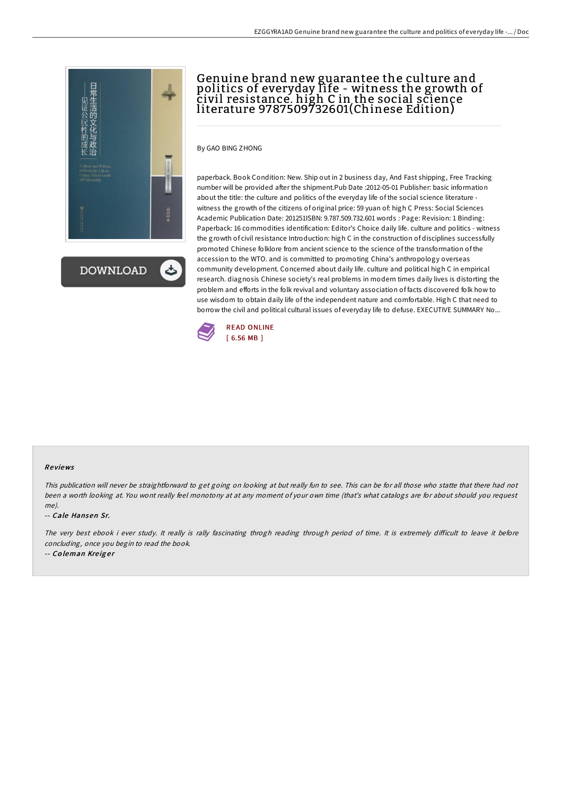

**DOWNLOAD** 

## Genuine brand new guarantee the culture and politics of everyday life - witness the growth of civil resistance. high C in the social science literature 9787509732601(Chinese Edition)

By GAO BING ZHONG

paperback. Book Condition: New. Ship out in 2 business day, And Fast shipping, Free Tracking number will be provided after the shipment.Pub Date :2012-05-01 Publisher: basic information about the title: the culture and politics of the everyday life of the social science literature witness the growth of the citizens of original price: 59 yuan of: high C Press: Social Sciences Academic Publication Date: 201251ISBN: 9.787.509.732.601 words : Page: Revision: 1 Binding: Paperback: 16 commodities identification: Editor's Choice daily life. culture and politics - witness the growth of civil resistance Introduction: high C in the construction of disciplines successfully promoted Chinese folklore from ancient science to the science of the transformation of the accession to the WTO. and is committed to promoting China's anthropology overseas community development. Concerned about daily life. culture and political high C in empirical research. diagnosis Chinese society's real problems in modern times daily lives is distorting the problem and efforts in the folk revival and voluntary association of facts discovered folk how to use wisdom to obtain daily life of the independent nature and comfortable. High C that need to borrow the civil and political cultural issues of everyday life to defuse. EXECUTIVE SUMMARY No...



## Re views

This publication will never be straightforward to get going on looking at but really fun to see. This can be for all those who statte that there had not been <sup>a</sup> worth looking at. You wont really feel monotony at at any moment of your own time (that's what catalogs are for about should you request me).

## -- Cale Hansen Sr.

The very best ebook i ever study. It really is rally fascinating throgh reading through period of time. It is extremely difficult to leave it before concluding, once you begin to read the book.

-- Co leman Kre ig <sup>e</sup> <sup>r</sup>